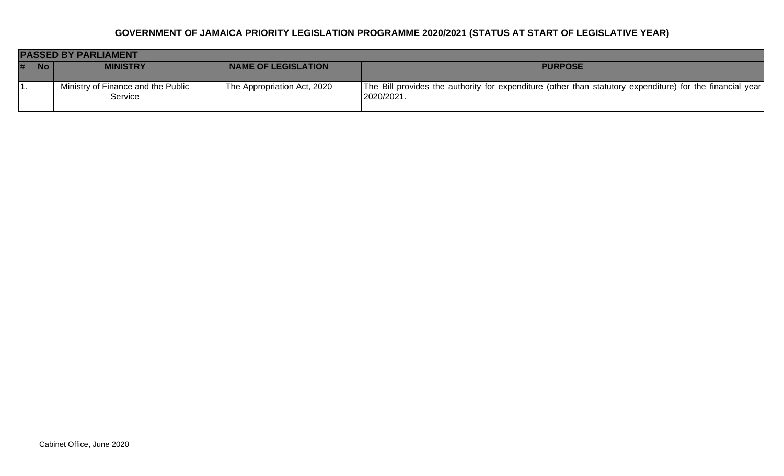|   | <b>PASSED BY PARLIAMENT</b> |                                               |                             |                                                                                                                         |  |
|---|-----------------------------|-----------------------------------------------|-----------------------------|-------------------------------------------------------------------------------------------------------------------------|--|
| # | <b>No</b>                   | <b>MINISTRY</b>                               | <b>NAME OF LEGISLATION</b>  | <b>PURPOSE</b>                                                                                                          |  |
|   |                             | Ministry of Finance and the Public<br>Service | The Appropriation Act, 2020 | The Bill provides the authority for expenditure (other than statutory expenditure) for the financial year<br>2020/2021. |  |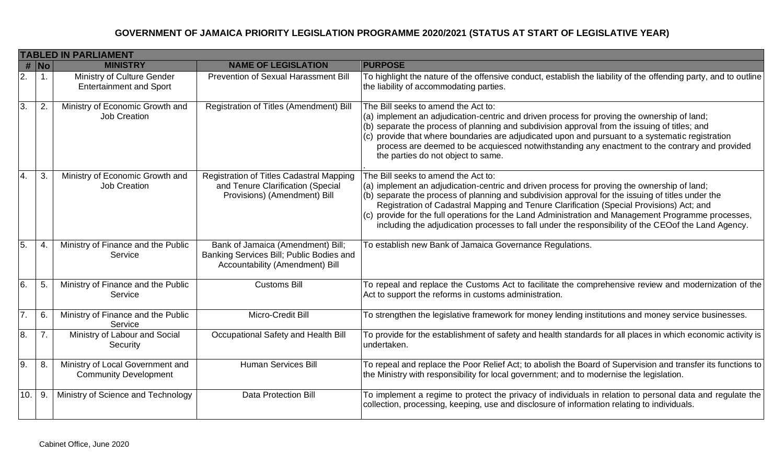|                  | <b>TABLED IN PARLIAMENT</b> |                                                                  |                                                                                                                  |                                                                                                                                                                                                                                                                                                                                                                                                                                                                                                                                                   |  |
|------------------|-----------------------------|------------------------------------------------------------------|------------------------------------------------------------------------------------------------------------------|---------------------------------------------------------------------------------------------------------------------------------------------------------------------------------------------------------------------------------------------------------------------------------------------------------------------------------------------------------------------------------------------------------------------------------------------------------------------------------------------------------------------------------------------------|--|
|                  | $#$ No                      | <b>MINISTRY</b>                                                  | <b>NAME OF LEGISLATION</b>                                                                                       | <b>PURPOSE</b>                                                                                                                                                                                                                                                                                                                                                                                                                                                                                                                                    |  |
| 2.               | $\mathbf 1$ .               | Ministry of Culture Gender<br><b>Entertainment and Sport</b>     | <b>Prevention of Sexual Harassment Bill</b>                                                                      | To highlight the nature of the offensive conduct, establish the liability of the offending party, and to outline<br>the liability of accommodating parties.                                                                                                                                                                                                                                                                                                                                                                                       |  |
| $\overline{3}$ . | 2.                          | Ministry of Economic Growth and<br>Job Creation                  | Registration of Titles (Amendment) Bill                                                                          | The Bill seeks to amend the Act to:<br>(a) implement an adjudication-centric and driven process for proving the ownership of land;<br>(b) separate the process of planning and subdivision approval from the issuing of titles; and<br>(c) provide that where boundaries are adjudicated upon and pursuant to a systematic registration<br>process are deemed to be acquiesced notwithstanding any enactment to the contrary and provided<br>the parties do not object to same.                                                                   |  |
| 4.               | 3.                          | Ministry of Economic Growth and<br><b>Job Creation</b>           | Registration of Titles Cadastral Mapping<br>and Tenure Clarification (Special<br>Provisions) (Amendment) Bill    | The Bill seeks to amend the Act to:<br>(a) implement an adjudication-centric and driven process for proving the ownership of land;<br>(b) separate the process of planning and subdivision approval for the issuing of titles under the<br>Registration of Cadastral Mapping and Tenure Clarification (Special Provisions) Act; and<br>(c) provide for the full operations for the Land Administration and Management Programme processes,<br>including the adjudication processes to fall under the responsibility of the CEOof the Land Agency. |  |
| 5.               | 4.                          | Ministry of Finance and the Public<br>Service                    | Bank of Jamaica (Amendment) Bill;<br>Banking Services Bill; Public Bodies and<br>Accountability (Amendment) Bill | To establish new Bank of Jamaica Governance Regulations.                                                                                                                                                                                                                                                                                                                                                                                                                                                                                          |  |
| 6.               | 5.                          | Ministry of Finance and the Public<br>Service                    | <b>Customs Bill</b>                                                                                              | To repeal and replace the Customs Act to facilitate the comprehensive review and modernization of the<br>Act to support the reforms in customs administration.                                                                                                                                                                                                                                                                                                                                                                                    |  |
| 7.               | 6.                          | Ministry of Finance and the Public<br>Service                    | Micro-Credit Bill                                                                                                | To strengthen the legislative framework for money lending institutions and money service businesses.                                                                                                                                                                                                                                                                                                                                                                                                                                              |  |
| $\overline{8}$ . | 7.                          | Ministry of Labour and Social<br>Security                        | Occupational Safety and Health Bill                                                                              | To provide for the establishment of safety and health standards for all places in which economic activity is<br>undertaken.                                                                                                                                                                                                                                                                                                                                                                                                                       |  |
| 9.               | 8.                          | Ministry of Local Government and<br><b>Community Development</b> | <b>Human Services Bill</b>                                                                                       | To repeal and replace the Poor Relief Act; to abolish the Board of Supervision and transfer its functions to<br>the Ministry with responsibility for local government; and to modernise the legislation.                                                                                                                                                                                                                                                                                                                                          |  |
| 10.              | 9.                          | Ministry of Science and Technology                               | <b>Data Protection Bill</b>                                                                                      | To implement a regime to protect the privacy of individuals in relation to personal data and regulate the<br>collection, processing, keeping, use and disclosure of information relating to individuals.                                                                                                                                                                                                                                                                                                                                          |  |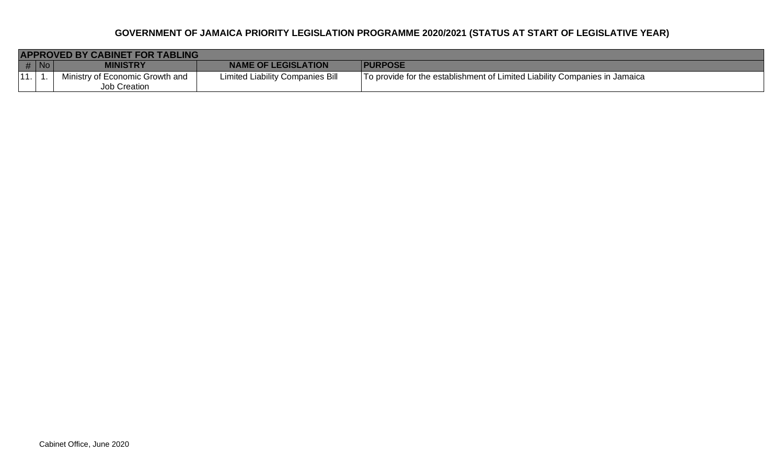|      | <b>APPROVED BY CABINET FOR TABLING</b> |                                 |                                         |                                                                            |  |  |
|------|----------------------------------------|---------------------------------|-----------------------------------------|----------------------------------------------------------------------------|--|--|
| # No |                                        | <b>MINISTRY</b>                 | <b>NAME OF LEGISLATION</b>              | <b>PURPOSE</b>                                                             |  |  |
| 11.  |                                        | Ministry of Economic Growth and | <b>Limited Liability Companies Bill</b> | To provide for the establishment of Limited Liability Companies in Jamaica |  |  |
|      |                                        | Job Creation                    |                                         |                                                                            |  |  |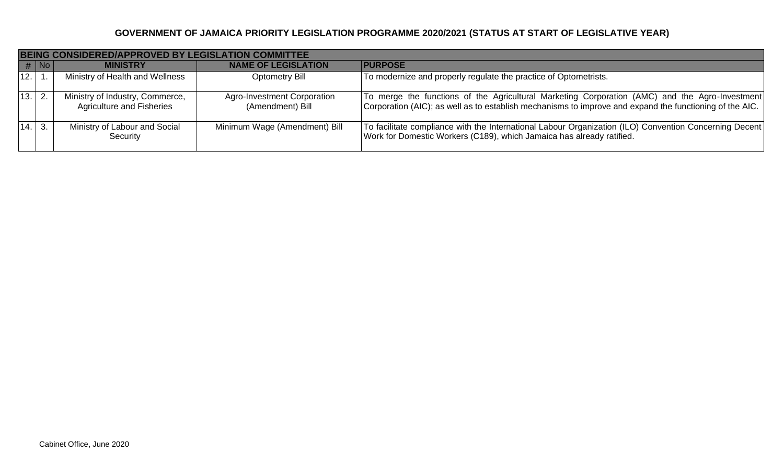|        | <b>BEING CONSIDERED/APPROVED BY LEGISLATION COMMITTEE</b> |                                                                     |                                                        |                                                                                                                                                                                                           |  |
|--------|-----------------------------------------------------------|---------------------------------------------------------------------|--------------------------------------------------------|-----------------------------------------------------------------------------------------------------------------------------------------------------------------------------------------------------------|--|
|        | #  No                                                     | <b>MINISTRY</b>                                                     | <b>NAME OF LEGISLATION</b>                             | <b>PURPOSE</b>                                                                                                                                                                                            |  |
| 12.1   |                                                           | Ministry of Health and Wellness                                     | <b>Optometry Bill</b>                                  | To modernize and properly regulate the practice of Optometrists.                                                                                                                                          |  |
| 13. 2. |                                                           | Ministry of Industry, Commerce,<br><b>Agriculture and Fisheries</b> | <b>Agro-Investment Corporation</b><br>(Amendment) Bill | To merge the functions of the Agricultural Marketing Corporation (AMC) and the Agro-Investment<br>Corporation (AIC); as well as to establish mechanisms to improve and expand the functioning of the AIC. |  |
| 14.    |                                                           | Ministry of Labour and Social<br>Security                           | Minimum Wage (Amendment) Bill                          | To facilitate compliance with the International Labour Organization (ILO) Convention Concerning Decent<br>Work for Domestic Workers (C189), which Jamaica has already ratified.                           |  |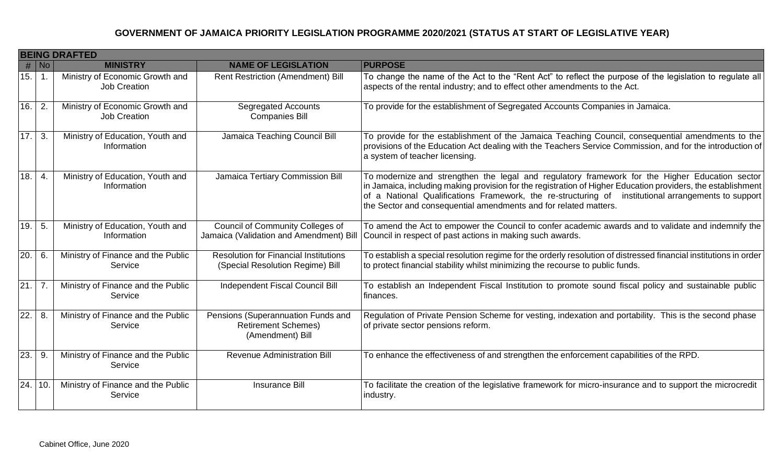|                   | <b>BEING DRAFTED</b> |                                                        |                                                                                      |                                                                                                                                                                                                                                                                                                                                                                                           |  |
|-------------------|----------------------|--------------------------------------------------------|--------------------------------------------------------------------------------------|-------------------------------------------------------------------------------------------------------------------------------------------------------------------------------------------------------------------------------------------------------------------------------------------------------------------------------------------------------------------------------------------|--|
|                   | #   No               | <b>MINISTRY</b>                                        | <b>NAME OF LEGISLATION</b>                                                           | <b>PURPOSE</b>                                                                                                                                                                                                                                                                                                                                                                            |  |
| 15.               | $\vert$ 1.           | Ministry of Economic Growth and<br><b>Job Creation</b> | <b>Rent Restriction (Amendment) Bill</b>                                             | To change the name of the Act to the "Rent Act" to reflect the purpose of the legislation to regulate all<br>aspects of the rental industry; and to effect other amendments to the Act.                                                                                                                                                                                                   |  |
| 16.               | 2.                   | Ministry of Economic Growth and<br><b>Job Creation</b> | <b>Segregated Accounts</b><br><b>Companies Bill</b>                                  | To provide for the establishment of Segregated Accounts Companies in Jamaica.                                                                                                                                                                                                                                                                                                             |  |
| 17.               | 3.                   | Ministry of Education, Youth and<br>Information        | Jamaica Teaching Council Bill                                                        | To provide for the establishment of the Jamaica Teaching Council, consequential amendments to the<br>provisions of the Education Act dealing with the Teachers Service Commission, and for the introduction of<br>a system of teacher licensing.                                                                                                                                          |  |
| 18.               | $\mathbf 4$          | Ministry of Education, Youth and<br>Information        | Jamaica Tertiary Commission Bill                                                     | To modernize and strengthen the legal and regulatory framework for the Higher Education sector<br>in Jamaica, including making provision for the registration of Higher Education providers, the establishment<br>of a National Qualifications Framework, the re-structuring of institutional arrangements to support<br>the Sector and consequential amendments and for related matters. |  |
| 19.               | 5.                   | Ministry of Education, Youth and<br>Information        | <b>Council of Community Colleges of</b><br>Jamaica (Validation and Amendment) Bill   | To amend the Act to empower the Council to confer academic awards and to validate and indemnify the<br>Council in respect of past actions in making such awards.                                                                                                                                                                                                                          |  |
| 20.               | 6.                   | Ministry of Finance and the Public<br>Service          | <b>Resolution for Financial Institutions</b><br>(Special Resolution Regime) Bill     | To establish a special resolution regime for the orderly resolution of distressed financial institutions in order<br>to protect financial stability whilst minimizing the recourse to public funds.                                                                                                                                                                                       |  |
| 21.               | $\overline{7}$ .     | Ministry of Finance and the Public<br>Service          | Independent Fiscal Council Bill                                                      | To establish an Independent Fiscal Institution to promote sound fiscal policy and sustainable public<br>finances.                                                                                                                                                                                                                                                                         |  |
| $\overline{22}$ . | 8.                   | Ministry of Finance and the Public<br>Service          | Pensions (Superannuation Funds and<br><b>Retirement Schemes)</b><br>(Amendment) Bill | Regulation of Private Pension Scheme for vesting, indexation and portability. This is the second phase<br>of private sector pensions reform.                                                                                                                                                                                                                                              |  |
| 23.               | 9.                   | Ministry of Finance and the Public<br>Service          | <b>Revenue Administration Bill</b>                                                   | To enhance the effectiveness of and strengthen the enforcement capabilities of the RPD.                                                                                                                                                                                                                                                                                                   |  |
| 24.   10.         |                      | Ministry of Finance and the Public<br>Service          | <b>Insurance Bill</b>                                                                | To facilitate the creation of the legislative framework for micro-insurance and to support the microcredit<br>industry.                                                                                                                                                                                                                                                                   |  |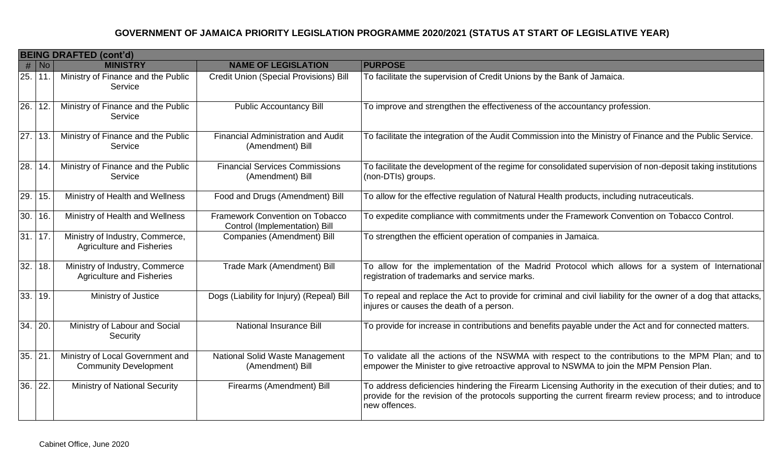|                   | <b>BEING DRAFTED (cont'd)</b> |                                                                     |                                                                  |                                                                                                                                                                                                                                          |  |
|-------------------|-------------------------------|---------------------------------------------------------------------|------------------------------------------------------------------|------------------------------------------------------------------------------------------------------------------------------------------------------------------------------------------------------------------------------------------|--|
|                   | # No                          | <b>MINISTRY</b>                                                     | <b>NAME OF LEGISLATION</b>                                       | <b>PURPOSE</b>                                                                                                                                                                                                                           |  |
| 25. 11            |                               | Ministry of Finance and the Public<br>Service                       | <b>Credit Union (Special Provisions) Bill</b>                    | To facilitate the supervision of Credit Unions by the Bank of Jamaica.                                                                                                                                                                   |  |
| 26.               | 12.                           | Ministry of Finance and the Public<br>Service                       | <b>Public Accountancy Bill</b>                                   | To improve and strengthen the effectiveness of the accountancy profession.                                                                                                                                                               |  |
| $27.$ 13.         |                               | Ministry of Finance and the Public<br>Service                       | Financial Administration and Audit<br>(Amendment) Bill           | To facilitate the integration of the Audit Commission into the Ministry of Finance and the Public Service.                                                                                                                               |  |
| $\overline{28}$ . | 14.                           | Ministry of Finance and the Public<br>Service                       | <b>Financial Services Commissions</b><br>(Amendment) Bill        | To facilitate the development of the regime for consolidated supervision of non-deposit taking institutions<br>(non-DTIs) groups.                                                                                                        |  |
| 29.               | 15.                           | Ministry of Health and Wellness                                     | Food and Drugs (Amendment) Bill                                  | To allow for the effective regulation of Natural Health products, including nutraceuticals.                                                                                                                                              |  |
| 30.               | 16.                           | Ministry of Health and Wellness                                     | Framework Convention on Tobacco<br>Control (Implementation) Bill | To expedite compliance with commitments under the Framework Convention on Tobacco Control.                                                                                                                                               |  |
|                   | 31.17.                        | Ministry of Industry, Commerce,<br><b>Agriculture and Fisheries</b> | Companies (Amendment) Bill                                       | To strengthen the efficient operation of companies in Jamaica.                                                                                                                                                                           |  |
| 32.               | 18.                           | Ministry of Industry, Commerce<br><b>Agriculture and Fisheries</b>  | Trade Mark (Amendment) Bill                                      | To allow for the implementation of the Madrid Protocol which allows for a system of International<br>registration of trademarks and service marks.                                                                                       |  |
| 33.               | 19.                           | Ministry of Justice                                                 | Dogs (Liability for Injury) (Repeal) Bill                        | To repeal and replace the Act to provide for criminal and civil liability for the owner of a dog that attacks,<br>injures or causes the death of a person.                                                                               |  |
| 34.               | 20.                           | Ministry of Labour and Social<br>Security                           | National Insurance Bill                                          | To provide for increase in contributions and benefits payable under the Act and for connected matters.                                                                                                                                   |  |
| 35.               | 21                            | Ministry of Local Government and<br><b>Community Development</b>    | National Solid Waste Management<br>(Amendment) Bill              | To validate all the actions of the NSWMA with respect to the contributions to the MPM Plan; and to<br>empower the Minister to give retroactive approval to NSWMA to join the MPM Pension Plan.                                           |  |
| 36.               | 22.                           | <b>Ministry of National Security</b>                                | Firearms (Amendment) Bill                                        | To address deficiencies hindering the Firearm Licensing Authority in the execution of their duties; and to<br>provide for the revision of the protocols supporting the current firearm review process; and to introduce<br>new offences. |  |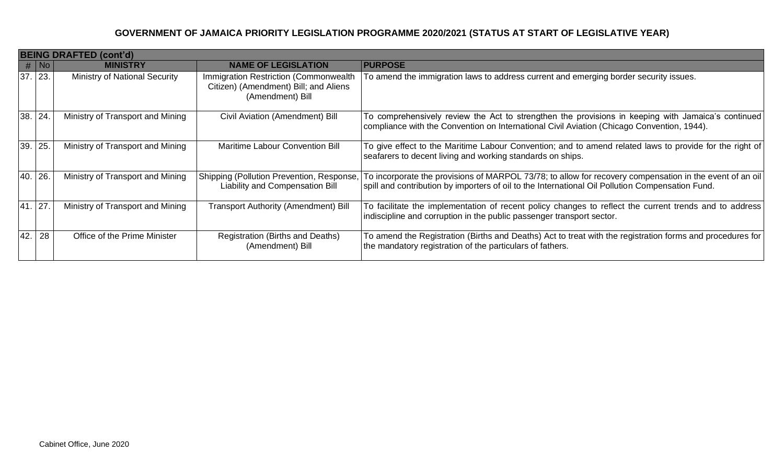|         |        | <b>BEING DRAFTED (cont'd)</b>        |                                                                                                    |                                                                                                                                                                                                              |
|---------|--------|--------------------------------------|----------------------------------------------------------------------------------------------------|--------------------------------------------------------------------------------------------------------------------------------------------------------------------------------------------------------------|
|         | #   No | <b>MINISTRY</b>                      | <b>NAME OF LEGISLATION</b>                                                                         | <b>PURPOSE</b>                                                                                                                                                                                               |
| 37. 23. |        | <b>Ministry of National Security</b> | Immigration Restriction (Commonwealth<br>Citizen) (Amendment) Bill; and Aliens<br>(Amendment) Bill | To amend the immigration laws to address current and emerging border security issues.                                                                                                                        |
| 38. 24. |        | Ministry of Transport and Mining     | Civil Aviation (Amendment) Bill                                                                    | To comprehensively review the Act to strengthen the provisions in keeping with Jamaica's continued<br>compliance with the Convention on International Civil Aviation (Chicago Convention, 1944).             |
| 39. 25. |        | Ministry of Transport and Mining     | Maritime Labour Convention Bill                                                                    | To give effect to the Maritime Labour Convention; and to amend related laws to provide for the right of<br>seafarers to decent living and working standards on ships.                                        |
| 40. 26. |        | Ministry of Transport and Mining     | Shipping (Pollution Prevention, Response,<br><b>Liability and Compensation Bill</b>                | To incorporate the provisions of MARPOL 73/78; to allow for recovery compensation in the event of an oil<br>spill and contribution by importers of oil to the International Oil Pollution Compensation Fund. |
| 41. 27. |        | Ministry of Transport and Mining     | <b>Transport Authority (Amendment) Bill</b>                                                        | To facilitate the implementation of recent policy changes to reflect the current trends and to address<br>indiscipline and corruption in the public passenger transport sector.                              |
| 42.     | 28     | Office of the Prime Minister         | Registration (Births and Deaths)<br>(Amendment) Bill                                               | To amend the Registration (Births and Deaths) Act to treat with the registration forms and procedures for<br>the mandatory registration of the particulars of fathers.                                       |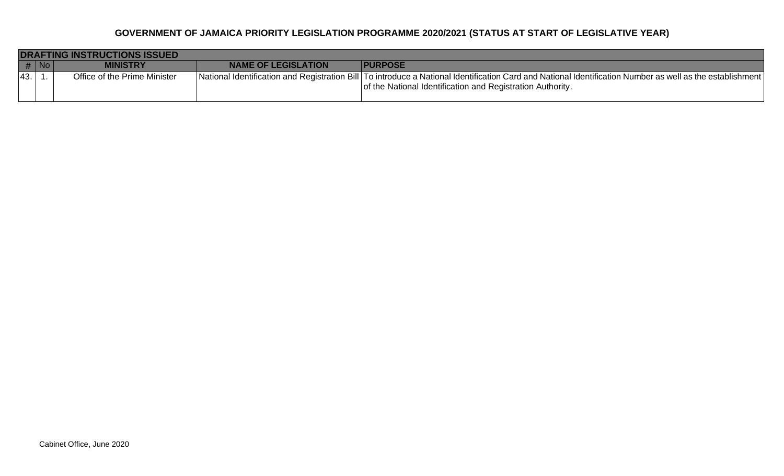|     | <b>DRAFTING INSTRUCTIONS ISSUED</b> |                              |                            |                                                                                                                                                                                                                             |  |  |
|-----|-------------------------------------|------------------------------|----------------------------|-----------------------------------------------------------------------------------------------------------------------------------------------------------------------------------------------------------------------------|--|--|
|     | $#$ No                              | <i>I</i> INISTRY             | <b>NAME OF LEGISLATION</b> | <b>IPURPOSE</b>                                                                                                                                                                                                             |  |  |
| 43. |                                     | Office of the Prime Minister |                            | National Identification and Registration Bill   To introduce a National Identification Card and National Identification Number as well as the establishment  <br>of the National Identification and Registration Authority. |  |  |